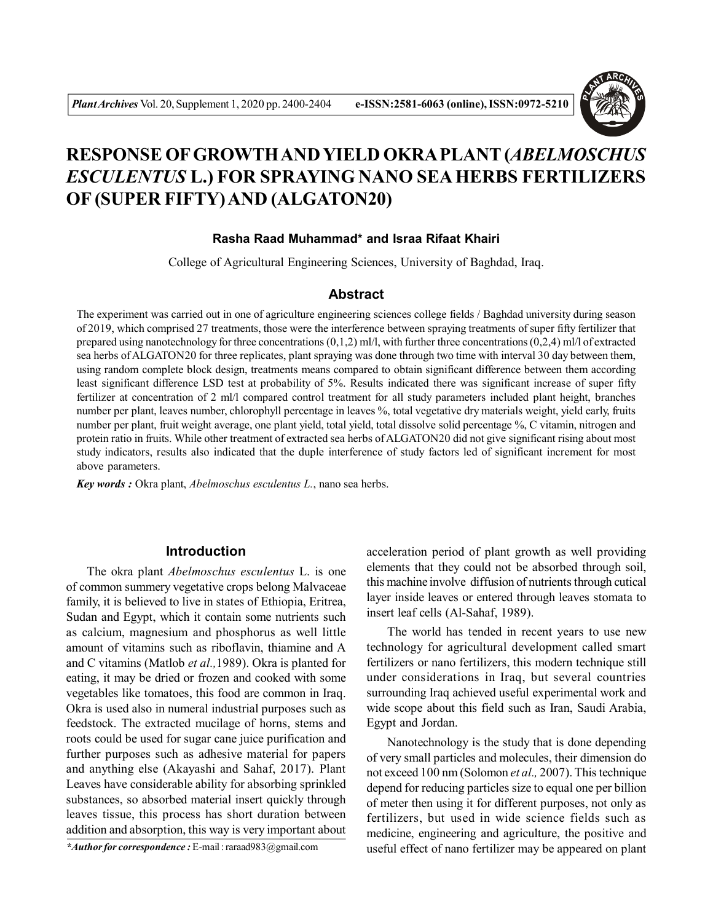

# **RESPONSE OF GROWTH AND YIELD OKRA PLANT (***ABELMOSCHUS ESCULENTUS* **L.) FOR SPRAYING NANO SEA HERBS FERTILIZERS OF (SUPER FIFTY) AND (ALGATON20)**

## **Rasha Raad Muhammad\* and Israa Rifaat Khairi**

College of Agricultural Engineering Sciences, University of Baghdad, Iraq.

## **Abstract**

The experiment was carried out in one of agriculture engineering sciences college fields / Baghdad university during season of 2019, which comprised 27 treatments, those were the interference between spraying treatments of super fifty fertilizer that prepared using nanotechnology for three concentrations  $(0,1,2)$  ml/l, with further three concentrations  $(0,2,4)$  ml/l of extracted sea herbs of ALGATON20 for three replicates, plant spraying was done through two time with interval 30 day between them, using random complete block design, treatments means compared to obtain significant difference between them according least significant difference LSD test at probability of 5%. Results indicated there was significant increase of super fifty fertilizer at concentration of 2 ml/l compared control treatment for all study parameters included plant height, branches number per plant, leaves number, chlorophyll percentage in leaves %, total vegetative dry materials weight, yield early, fruits number per plant, fruit weight average, one plant yield, total yield, total dissolve solid percentage %, C vitamin, nitrogen and protein ratio in fruits. While other treatment of extracted sea herbs of ALGATON20 did not give significant rising about most study indicators, results also indicated that the duple interference of study factors led of significant increment for most above parameters.

*Key words :* Okra plant, *Abelmoschus esculentus L.*, nano sea herbs.

## **Introduction**

The okra plant *Abelmoschus esculentus* L. is one of common summery vegetative crops belong Malvaceae family, it is believed to live in states of Ethiopia, Eritrea, Sudan and Egypt, which it contain some nutrients such as calcium, magnesium and phosphorus as well little amount of vitamins such as riboflavin, thiamine and A and C vitamins (Matlob *et al.,*1989). Okra is planted for eating, it may be dried or frozen and cooked with some vegetables like tomatoes, this food are common in Iraq. Okra is used also in numeral industrial purposes such as feedstock. The extracted mucilage of horns, stems and roots could be used for sugar cane juice purification and further purposes such as adhesive material for papers and anything else (Akayashi and Sahaf, 2017). Plant Leaves have considerable ability for absorbing sprinkled substances, so absorbed material insert quickly through leaves tissue, this process has short duration between addition and absorption, this way is very important about

*\*Author for correspondence :* E-mail : raraad983@gmail.com

acceleration period of plant growth as well providing elements that they could not be absorbed through soil, this machine involve diffusion of nutrients through cutical layer inside leaves or entered through leaves stomata to insert leaf cells (Al-Sahaf, 1989).

The world has tended in recent years to use new technology for agricultural development called smart fertilizers or nano fertilizers, this modern technique still under considerations in Iraq, but several countries surrounding Iraq achieved useful experimental work and wide scope about this field such as Iran, Saudi Arabia, Egypt and Jordan.

Nanotechnology is the study that is done depending of very small particles and molecules, their dimension do not exceed 100 nm (Solomon *et al.,* 2007). This technique depend for reducing particles size to equal one per billion of meter then using it for different purposes, not only as fertilizers, but used in wide science fields such as medicine, engineering and agriculture, the positive and useful effect of nano fertilizer may be appeared on plant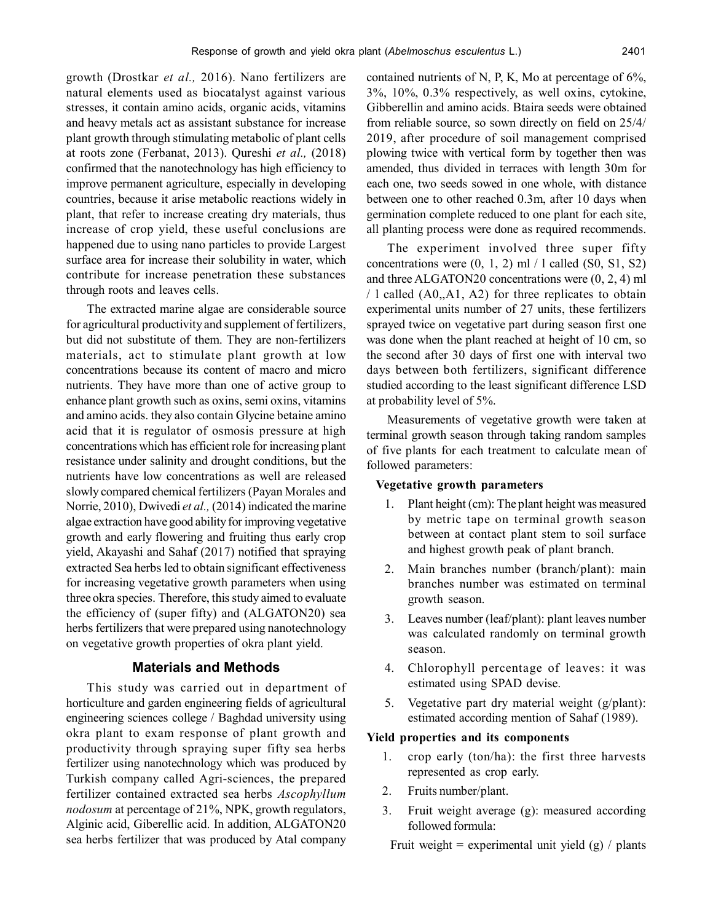growth (Drostkar *et al.,* 2016). Nano fertilizers are natural elements used as biocatalyst against various stresses, it contain amino acids, organic acids, vitamins and heavy metals act as assistant substance for increase plant growth through stimulating metabolic of plant cells at roots zone (Ferbanat, 2013). Qureshi *et al.,* (2018) confirmed that the nanotechnology has high efficiency to improve permanent agriculture, especially in developing countries, because it arise metabolic reactions widely in plant, that refer to increase creating dry materials, thus increase of crop yield, these useful conclusions are happened due to using nano particles to provide Largest surface area for increase their solubility in water, which contribute for increase penetration these substances through roots and leaves cells.

The extracted marine algae are considerable source for agricultural productivityand supplement of fertilizers, but did not substitute of them. They are non-fertilizers materials, act to stimulate plant growth at low concentrations because its content of macro and micro nutrients. They have more than one of active group to enhance plant growth such as oxins, semi oxins, vitamins and amino acids. they also contain Glycine betaine amino acid that it is regulator of osmosis pressure at high concentrations which has efficient role for increasing plant resistance under salinity and drought conditions, but the nutrients have low concentrations as well are released slowly compared chemical fertilizers (Payan Morales and Norrie, 2010), Dwivedi *et al.,* (2014) indicated the marine algae extraction have good ability for improving vegetative growth and early flowering and fruiting thus early crop yield, Akayashi and Sahaf (2017) notified that spraying extracted Sea herbs led to obtain significant effectiveness for increasing vegetative growth parameters when using three okra species. Therefore, this study aimed to evaluate the efficiency of (super fifty) and (ALGATON20) sea herbs fertilizers that were prepared using nanotechnology on vegetative growth properties of okra plant yield.

## **Materials and Methods**

This study was carried out in department of horticulture and garden engineering fields of agricultural engineering sciences college / Baghdad university using okra plant to exam response of plant growth and productivity through spraying super fifty sea herbs fertilizer using nanotechnology which was produced by Turkish company called Agri-sciences, the prepared fertilizer contained extracted sea herbs *Ascophyllum nodosum* at percentage of 21%, NPK, growth regulators, Alginic acid, Giberellic acid. In addition, ALGATON20 sea herbs fertilizer that was produced by Atal company

contained nutrients of N, P, K, Mo at percentage of 6%, 3%, 10%, 0.3% respectively, as well oxins, cytokine, Gibberellin and amino acids. Btaira seeds were obtained from reliable source, so sown directly on field on 25/4/ 2019, after procedure of soil management comprised plowing twice with vertical form by together then was amended, thus divided in terraces with length 30m for each one, two seeds sowed in one whole, with distance between one to other reached 0.3m, after 10 days when germination complete reduced to one plant for each site, all planting process were done as required recommends.

The experiment involved three super fifty concentrations were  $(0, 1, 2)$  ml  $/1$  called  $(S0, S1, S2)$ and three ALGATON20 concentrations were (0, 2, 4) ml / l called (A0,,A1, A2) for three replicates to obtain experimental units number of 27 units, these fertilizers sprayed twice on vegetative part during season first one was done when the plant reached at height of 10 cm, so the second after 30 days of first one with interval two days between both fertilizers, significant difference studied according to the least significant difference LSD at probability level of 5%.

Measurements of vegetative growth were taken at terminal growth season through taking random samples of five plants for each treatment to calculate mean of followed parameters:

## **Vegetative growth parameters**

- 1. Plant height (cm): The plant height was measured by metric tape on terminal growth season between at contact plant stem to soil surface and highest growth peak of plant branch.
- 2. Main branches number (branch/plant): main branches number was estimated on terminal growth season.
- 3. Leaves number (leaf/plant): plant leaves number was calculated randomly on terminal growth season.
- 4. Chlorophyll percentage of leaves: it was estimated using SPAD devise.
- 5. Vegetative part dry material weight (g/plant): estimated according mention of Sahaf (1989).

#### **Yield properties and its components**

- 1. crop early (ton/ha): the first three harvests represented as crop early.
- 2. Fruits number/plant.
- 3. Fruit weight average (g): measured according followed formula:

Fruit weight = experimental unit yield  $(g)$  / plants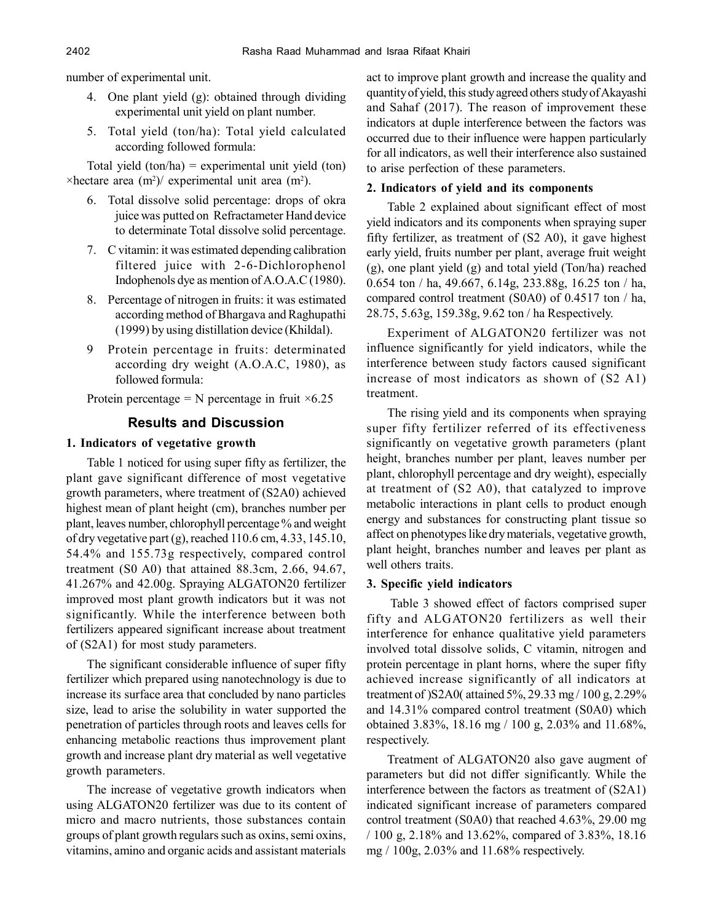number of experimental unit.

- 4. One plant yield (g): obtained through dividing experimental unit yield on plant number.
- 5. Total yield (ton/ha): Total yield calculated according followed formula:

Total yield  $(ton/ha)$  = experimental unit yield  $(ton)$  $\times$ hectare area (m<sup>2</sup>)/ experimental unit area (m<sup>2</sup>).

- 6. Total dissolve solid percentage: drops of okra juice was putted on Refractameter Hand device to determinate Total dissolve solid percentage.
- 7. C vitamin: it was estimated depending calibration filtered juice with 2-6-Dichlorophenol Indophenols dye as mention of A.O.A.C (1980).
- 8. Percentage of nitrogen in fruits: it was estimated according method of Bhargava and Raghupathi (1999) by using distillation device (Khildal).
- 9 Protein percentage in fruits: determinated according dry weight (A.O.A.C, 1980), as followed formula:

Protein percentage = N percentage in fruit  $\times 6.25$ 

# **Results and Discussion**

# **1. Indicators of vegetative growth**

Table 1 noticed for using super fifty as fertilizer, the plant gave significant difference of most vegetative growth parameters, where treatment of (S2A0) achieved highest mean of plant height (cm), branches number per plant, leaves number, chlorophyll percentage % and weight of dry vegetative part (g), reached 110.6 cm, 4.33, 145.10, 54.4% and 155.73g respectively, compared control treatment (S0 A0) that attained 88.3cm, 2.66, 94.67, 41.267% and 42.00g. Spraying ALGATON20 fertilizer improved most plant growth indicators but it was not significantly. While the interference between both fertilizers appeared significant increase about treatment of (S2A1) for most study parameters.

The significant considerable influence of super fifty fertilizer which prepared using nanotechnology is due to increase its surface area that concluded by nano particles size, lead to arise the solubility in water supported the penetration of particles through roots and leaves cells for enhancing metabolic reactions thus improvement plant growth and increase plant dry material as well vegetative growth parameters.

The increase of vegetative growth indicators when using ALGATON20 fertilizer was due to its content of micro and macro nutrients, those substances contain groups of plant growth regulars such as oxins, semi oxins, vitamins, amino and organic acids and assistant materials

act to improve plant growth and increase the quality and quantity of yield, this study agreed others study of Akayashi and Sahaf (2017). The reason of improvement these indicators at duple interference between the factors was occurred due to their influence were happen particularly for all indicators, as well their interference also sustained to arise perfection of these parameters.

## **2. Indicators of yield and its components**

Table 2 explained about significant effect of most yield indicators and its components when spraying super fifty fertilizer, as treatment of (S2 A0), it gave highest early yield, fruits number per plant, average fruit weight (g), one plant yield (g) and total yield (Ton/ha) reached 0.654 ton / ha, 49.667, 6.14g, 233.88g, 16.25 ton / ha, compared control treatment (S0A0) of 0.4517 ton / ha, 28.75, 5.63g, 159.38g, 9.62 ton / ha Respectively.

Experiment of ALGATON20 fertilizer was not influence significantly for yield indicators, while the interference between study factors caused significant increase of most indicators as shown of (S2 A1) treatment.

The rising yield and its components when spraying super fifty fertilizer referred of its effectiveness significantly on vegetative growth parameters (plant height, branches number per plant, leaves number per plant, chlorophyll percentage and dry weight), especially at treatment of (S2 A0), that catalyzed to improve metabolic interactions in plant cells to product enough energy and substances for constructing plant tissue so affect on phenotypes like dry materials, vegetative growth, plant height, branches number and leaves per plant as well others traits.

## **3. Specific yield indicators**

Table 3 showed effect of factors comprised super fifty and ALGATON20 fertilizers as well their interference for enhance qualitative yield parameters involved total dissolve solids, C vitamin, nitrogen and protein percentage in plant horns, where the super fifty achieved increase significantly of all indicators at treatment of )S2A0( attained 5%, 29.33 mg / 100 g, 2.29% and 14.31% compared control treatment (S0A0) which obtained 3.83%, 18.16 mg / 100 g, 2.03% and 11.68%, respectively.

Treatment of ALGATON20 also gave augment of parameters but did not differ significantly. While the interference between the factors as treatment of (S2A1) indicated significant increase of parameters compared control treatment (S0A0) that reached 4.63%, 29.00 mg / 100 g, 2.18% and 13.62%, compared of 3.83%, 18.16 mg / 100g, 2.03% and 11.68% respectively.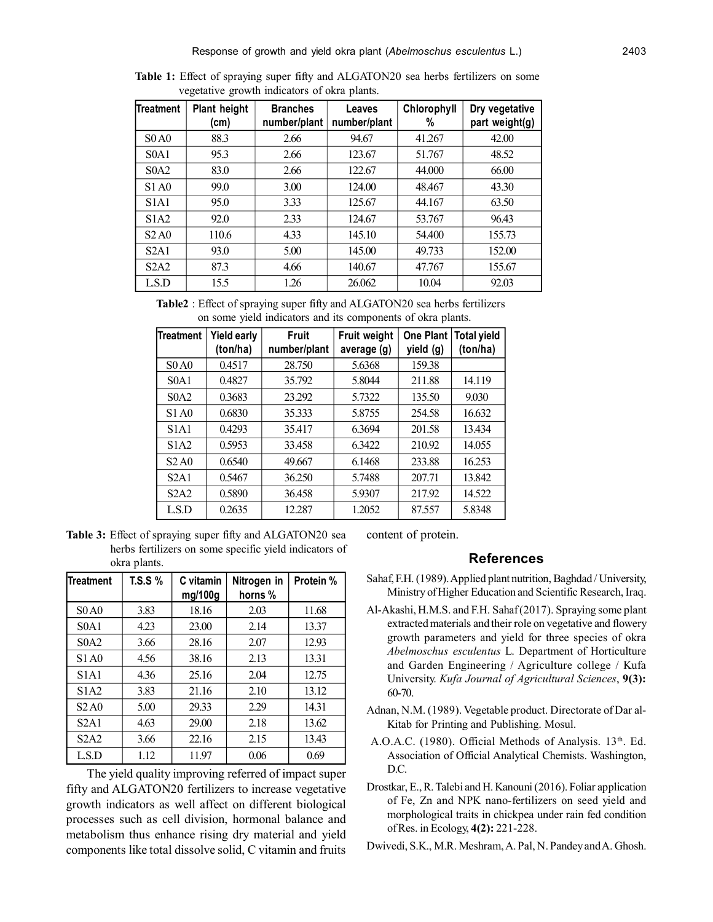| Treatment                     | Plant height<br>(cm) | <b>Branches</b><br>number/plant | Leaves<br>number/plant | Chlorophyll<br>% | Dry vegetative<br>part weight(g) |
|-------------------------------|----------------------|---------------------------------|------------------------|------------------|----------------------------------|
| SOA0                          | 88.3                 | 2.66                            | 94.67                  | 41.267           | 42.00                            |
| SOA1                          | 95.3                 | 2.66                            | 123.67                 | 51.767           | 48.52                            |
| SOA2                          | 83.0                 | 2.66                            | 122.67                 | 44.000           | 66.00                            |
| S1A0                          | 99.0                 | 3.00                            | 124.00                 | 48.467           | 43.30                            |
| S <sub>1</sub> A <sub>1</sub> | 95.0                 | 3.33                            | 125.67                 | 44.167           | 63.50                            |
| S1A2                          | 92.0                 | 2.33                            | 124.67                 | 53.767           | 96.43                            |
| S2A0                          | 110.6                | 4.33                            | 145.10                 | 54.400           | 155.73                           |
| S2A1                          | 93.0                 | 5.00                            | 145.00                 | 49.733           | 152.00                           |
| S2A2                          | 87.3                 | 4.66                            | 140.67                 | 47.767           | 155.67                           |
| LSD                           | 15.5                 | 1.26                            | 26.062                 | 10.04            | 92.03                            |

**Table 1:** Effect of spraying super fifty and ALGATON20 sea herbs fertilizers on some vegetative growth indicators of okra plants.

**Table2** : Effect of spraying super fifty and ALGATON20 sea herbs fertilizers on some yield indicators and its components of okra plants.

| Treatment   | <b>Yield early</b><br>(ton/ha) | Fruit<br>number/plant | Fruit weight<br>average (g) | <b>One Plant</b><br>yield (g) | <b>Total yield</b><br>(ton/ha) |
|-------------|--------------------------------|-----------------------|-----------------------------|-------------------------------|--------------------------------|
| SO A0       | 0.4517                         | 28.750                | 5.6368                      | 159.38                        |                                |
| SOA1        | 0.4827                         | 35.792                | 5.8044                      | 211.88                        | 14.119                         |
| SOA2        | 0.3683                         | 23.292                | 5.7322                      | 135.50                        | 9.030                          |
| S1A0        | 0.6830                         | 35.333                | 5.8755                      | 254.58                        | 16.632                         |
| <b>S1A1</b> | 0.4293                         | 35.417                | 6.3694                      | 201.58                        | 13.434                         |
| <b>S1A2</b> | 0.5953                         | 33.458                | 6.3422                      | 210.92                        | 14.055                         |
| S2A0        | 0.6540                         | 49.667                | 6.1468                      | 233.88                        | 16.253                         |
| S2A1        | 0.5467                         | 36.250                | 5.7488                      | 207.71                        | 13.842                         |
| S2A2        | 0.5890                         | 36.458                | 5.9307                      | 217.92                        | 14.522                         |
| LSD         | 0.2635                         | 12.287                | 1.2052                      | 87.557                        | 5.8348                         |

**Table 3:** Effect of spraying super fifty and ALGATON20 sea herbs fertilizers on some specific yield indicators of okra plants.

| <b>Treatment</b>              | <b>T.S.S</b> % | C vitamin<br>mg/100g | Nitrogen in<br>horns% | Protein % |
|-------------------------------|----------------|----------------------|-----------------------|-----------|
| SOA0                          | 3.83           | 18.16                | 2.03                  | 11.68     |
| SOA1                          | 4.23           | 23.00                | 2.14                  | 13.37     |
| S <sub>0</sub> A <sub>2</sub> | 3.66           | 28.16                | 2.07                  | 12.93     |
| S1 A0                         | 4.56           | 38.16                | 2.13                  | 13.31     |
| <b>S1A1</b>                   | 4.36           | 25.16                | 2.04                  | 12.75     |
| <b>S1A2</b>                   | 3.83           | 21.16                | 2.10                  | 13.12     |
| S <sub>2</sub> A <sub>0</sub> | 5.00           | 29.33                | 2.29                  | 14.31     |
| S2A1                          | 4.63           | 29.00                | 2.18                  | 13.62     |
| S2A2                          | 3.66           | 22.16                | 2.15                  | 13.43     |
| L.S.D                         | 1.12           | 11.97                | 0.06                  | 0.69      |

The yield quality improving referred of impact super fifty and ALGATON20 fertilizers to increase vegetative growth indicators as well affect on different biological processes such as cell division, hormonal balance and metabolism thus enhance rising dry material and yield components like total dissolve solid, C vitamin and fruits

content of protein.

#### **References**

- Sahaf, F.H. (1989). Applied plant nutrition, Baghdad / University, Ministry of Higher Education and Scientific Research, Iraq.
- Al-Akashi, H.M.S. and F.H. Sahaf (2017). Spraying some plant extracted materials and their role on vegetative and flowery growth parameters and yield for three species of okra *Abelmoschus esculentus* L. Department of Horticulture and Garden Engineering / Agriculture college / Kufa University. *Kufa Journal of Agricultural Sciences*, **9(3):** 60-70.
- Adnan, N.M. (1989). Vegetable product. Directorate of Dar al-Kitab for Printing and Publishing. Mosul.
- A.O.A.C. (1980). Official Methods of Analysis. 13<sup>th</sup>. Ed. Association of Official Analytical Chemists. Washington, D.C.
- Drostkar, E., R. Talebi and H. Kanouni (2016). Foliar application of Fe, Zn and NPK nano-fertilizers on seed yield and morphological traits in chickpea under rain fed condition of Res. in Ecology, **4(2):** 221-228.
- Dwivedi, S.K., M.R. Meshram, A. Pal, N. Pandey and A. Ghosh.